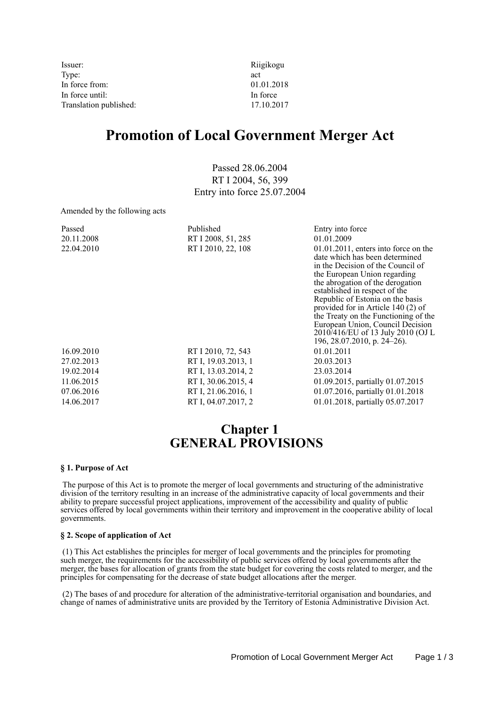Issuer: Riigikogu Type:  $\qquad \qquad \text{act}$ In force from: 01.01.2018 In force until: In force Translation published: 17.10.2017

# **Promotion of Local Government Merger Act**

Passed 28.06.2004 RT I 2004, 56, 399 Entry into force 25.07.2004

Amended by the following acts

| Passed     | Published           | Entry into force                                                                                                                                                                                                                                                                                                                                                                                                                              |
|------------|---------------------|-----------------------------------------------------------------------------------------------------------------------------------------------------------------------------------------------------------------------------------------------------------------------------------------------------------------------------------------------------------------------------------------------------------------------------------------------|
| 20.11.2008 | RT I 2008, 51, 285  | 01.01.2009                                                                                                                                                                                                                                                                                                                                                                                                                                    |
| 22.04.2010 | RT I 2010, 22, 108  | $01.01.2011$ , enters into force on the<br>date which has been determined<br>in the Decision of the Council of<br>the European Union regarding<br>the abrogation of the derogation<br>established in respect of the<br>Republic of Estonia on the basis<br>provided for in Article 140 (2) of<br>the Treaty on the Functioning of the<br>European Union, Council Decision<br>2010/416/EU of 13 July 2010 (OJ L<br>196, 28.07.2010, p. 24–26). |
| 16.09.2010 | RT I 2010, 72, 543  | 01.01.2011                                                                                                                                                                                                                                                                                                                                                                                                                                    |
| 27.02.2013 | RT I, 19.03.2013, 1 | 20.03.2013                                                                                                                                                                                                                                                                                                                                                                                                                                    |
| 19.02.2014 | RT I, 13.03.2014, 2 | 23.03.2014                                                                                                                                                                                                                                                                                                                                                                                                                                    |
| 11.06.2015 | RT I, 30.06.2015, 4 | 01.09.2015, partially 01.07.2015                                                                                                                                                                                                                                                                                                                                                                                                              |
| 07.06.2016 | RT I, 21.06.2016, 1 | 01.07.2016, partially 01.01.2018                                                                                                                                                                                                                                                                                                                                                                                                              |
| 14.06.2017 | RT I, 04.07.2017, 2 | 01.01.2018, partially 05.07.2017                                                                                                                                                                                                                                                                                                                                                                                                              |

### **Chapter 1 GENERAL PROVISIONS**

#### **§ 1. Purpose of Act**

 The purpose of this Act is to promote the merger of local governments and structuring of the administrative division of the territory resulting in an increase of the administrative capacity of local governments and their ability to prepare successful project applications, improvement of the accessibility and quality of public services offered by local governments within their territory and improvement in the cooperative ability of local governments.

#### **§ 2. Scope of application of Act**

 (1) This Act establishes the principles for merger of local governments and the principles for promoting such merger, the requirements for the accessibility of public services offered by local governments after the merger, the bases for allocation of grants from the state budget for covering the costs related to merger, and the principles for compensating for the decrease of state budget allocations after the merger.

 (2) The bases of and procedure for alteration of the administrative-territorial organisation and boundaries, and change of names of administrative units are provided by the Territory of Estonia Administrative Division Act.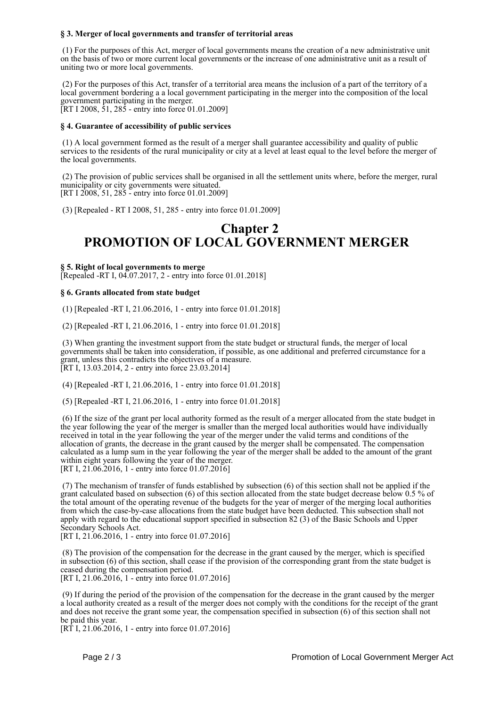#### **§ 3. Merger of local governments and transfer of territorial areas**

 (1) For the purposes of this Act, merger of local governments means the creation of a new administrative unit on the basis of two or more current local governments or the increase of one administrative unit as a result of uniting two or more local governments.

 (2) For the purposes of this Act, transfer of a territorial area means the inclusion of a part of the territory of a local government bordering a a local government participating in the merger into the composition of the local government participating in the merger. [RT I 2008, 51, 285 - entry into force 01.01.2009]

#### **§ 4. Guarantee of accessibility of public services**

 (1) A local government formed as the result of a merger shall guarantee accessibility and quality of public services to the residents of the rural municipality or city at a level at least equal to the level before the merger of the local governments.

 (2) The provision of public services shall be organised in all the settlement units where, before the merger, rural municipality or city governments were situated. [RT I 2008, 51, 285 - entry into force 01.01.2009]

(3) [Repealed - RT I 2008, 51, 285 - entry into force 01.01.2009]

### **Chapter 2 PROMOTION OF LOCAL GOVERNMENT MERGER**

**§ 5. Right of local governments to merge** [Repealed -RT I, 04.07.2017, 2 - entry into force 01.01.2018]

#### **§ 6. Grants allocated from state budget**

(1) [Repealed -RT I, 21.06.2016, 1 - entry into force 01.01.2018]

(2) [Repealed -RT I, 21.06.2016, 1 - entry into force 01.01.2018]

 (3) When granting the investment support from the state budget or structural funds, the merger of local governments shall be taken into consideration, if possible, as one additional and preferred circumstance for a grant, unless this contradicts the objectives of a measure. [RT I, 13.03.2014, 2 - entry into force 23.03.2014]

(4) [Repealed -RT I, 21.06.2016, 1 - entry into force 01.01.2018]

(5) [Repealed -RT I, 21.06.2016, 1 - entry into force 01.01.2018]

 (6) If the size of the grant per local authority formed as the result of a merger allocated from the state budget in the year following the year of the merger is smaller than the merged local authorities would have individually received in total in the year following the year of the merger under the valid terms and conditions of the allocation of grants, the decrease in the grant caused by the merger shall be compensated. The compensation calculated as a lump sum in the year following the year of the merger shall be added to the amount of the grant within eight years following the year of the merger. [RT I, 21.06.2016, 1 - entry into force 01.07.2016]

 (7) The mechanism of transfer of funds established by subsection (6) of this section shall not be applied if the grant calculated based on subsection (6) of this section allocated from the state budget decrease below 0.5 % of the total amount of the operating revenue of the budgets for the year of merger of the merging local authorities from which the case-by-case allocations from the state budget have been deducted. This subsection shall not apply with regard to the educational support specified in subsection 82 (3) of the Basic Schools and Upper Secondary Schools Act.

[RT I, 21.06.2016, 1 - entry into force 01.07.2016]

 (8) The provision of the compensation for the decrease in the grant caused by the merger, which is specified in subsection (6) of this section, shall cease if the provision of the corresponding grant from the state budget is ceased during the compensation period. [RT I, 21.06.2016, 1 - entry into force 01.07.2016]

 (9) If during the period of the provision of the compensation for the decrease in the grant caused by the merger a local authority created as a result of the merger does not comply with the conditions for the receipt of the grant and does not receive the grant some year, the compensation specified in subsection (6) of this section shall not be paid this year.

 $[RT\ I, 21.06.2016, 1 - entry into force 01.07.2016]$